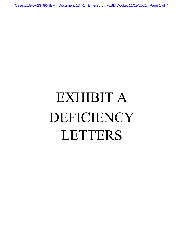Case 1:18-cv-23786-JEM Document 134-1 Entered on FLSD Docket 11/19/2021 Page 1 of 7

# EXHIBIT A DEFICIENCY LETTERS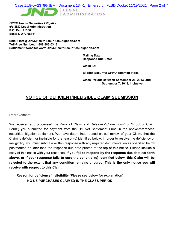*OPKO Health Securities Litigation* **c/o JND Legal Administration P.O. Box 91360 Seattle, WA, 98111**

**Email: info@OPKOHealthSecuritiesLitigation.com Toll-Free Number: 1-888-383-0345 Settlement Website: www.OPKOHealthSecuritiesLitigation.com**

> **Mailing Date: Response Due Date:**

**Claim ID:**

**Eligible Security: OPKO common stock** 

**Class Period: Between September 26, 2013, and September 7, 2018, inclusive**

# **NOTICE OF DEFICIENT/INELIGIBLE CLAIM SUBMISSION**

Dear Claimant:

We received and processed the Proof of Claim and Release ("Claim Form" or "Proof of Claim Form") you submitted for payment from the US Net Settlement Fund in the above-referenced securities litigation settlement. We have determined, based on our review of your Claim, that the Claim is deficient or ineligible for the reason(s) identified below. In order to resolve the deficiency or ineligibility, you must submit a written response with any required documentation as specified below postmarked no later than the response due date printed at the top of this notice. Please include a copy of this notice with your response. **If you fail to respond by the response due date set forth above, or if your response fails to cure the condition(s) identified below, this Claim will be rejected to the extent that any condition remains uncured. This is the only notice you will receive with respect to this Claim.**

**NO US PURCHASES CLAIMED IN THE CLASS PERIOD Reason for deficiency/ineligibility (Please see below for explanation):**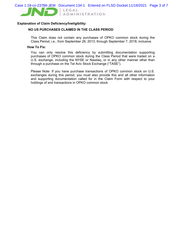

### **Explanation of Claim Deficiency/Ineligibility:**

## **NO US PURCHASES CLAIMED IN THE CLASS PERIOD**

This Claim does not contain any purchases of OPKO common stock during the Class Period, i.e., from September 26, 2013, through September 7, 2018, inclusive.

#### **How To Fix:**

You can only resolve this deficiency by submitting documentation supporting purchases of OPKO common stock during the Class Period that were traded on a U.S. exchange, including the NYSE or Nasdaq, or in any other manner other than through a purchase on the Tel Aviv Stock Exchange ("TASE").

Please Note: If you have purchase transactions of OPKO common stock on U.S. exchanges during this period, you must also provide this and all other information and supporting documentation called for in the Claim Form with respect to your holdings of and transactions in OPKO common stock.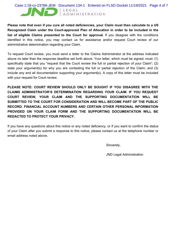## Case 1:18-cv-23786-JEM Document 134-1 Entered on FLSD Docket 11/19/2021 Page 4 of 7

LEGAL

ADMINISTRATION

**Please note that even if you cure all noted deficiencies, your Claim must then calculate to a US Recognized Claim under the Court-approved Plan of Allocation in order to be included in the list of eligible Claims presented to the Court for approval.** If you disagree with the conditions identified in this notice, you may contact us for assistance and/or request Court review of our administrative determination regarding your Claim.

To request Court review, you must send a letter to the Claims Administrator at the address indicated above no later than the response deadline set forth above. Your letter, which must be signed, must: (1) specifically state that you "request that the Court review the full or partial rejection of your Claim"; (2) state your argument(s) for why you are contesting the full or partial rejection of the Claim; and (3) include any and all documentation supporting your argument(s). A copy of this letter must be included with your request for Court review.

**PLEASE NOTE: COURT REVIEW SHOULD ONLY BE SOUGHT IF YOU DISAGREE WITH THE CLAIMS ADMINISTRATOR'S DETERMINATION REGARDING YOUR CLAIM. IF YOU REQUEST COURT REVIEW, YOUR CLAIM AND THE SUPPORTING DOCUMENTATION WILL BE SUBMITTED TO THE COURT FOR CONSIDERATION AND WILL BECOME PART OF THE PUBLIC RECORD. FINANCIAL ACCOUNT NUMBERS AND CERTAIN OTHER PERSONAL INFORMATION PROVIDED ON YOUR CLAIM FORM AND THE SUPPORTING DOCUMENTATION WILL BE REDACTED TO PROTECT YOUR PRIVACY.**

If you have any questions about this notice or any noted deficiency, or if you want to confirm the status of your Claim after you submit a response to this notice, please contact us at the telephone number or email address noted above.

Sincerely,

JND Legal Administration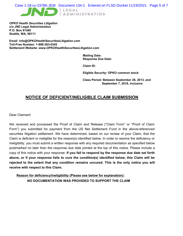*OPKO Health Securities Litigation* **c/o JND Legal Administration P.O. Box 91360 Seattle, WA, 98111**

**Email: info@OPKOHealthSecuritiesLitigation.com Toll-Free Number: 1-888-383-0345 Settlement Website: www.OPKOHealthSecuritiesLitigation.com**

> **Mailing Date: Response Due Date:**

**Claim ID:**

**Eligible Security: OPKO common stock** 

**Class Period: Between September 26, 2013, and September 7, 2018, inclusive**

# **NOTICE OF DEFICIENT/INELIGIBLE CLAIM SUBMISSION**

Dear Claimant:

We received and processed the Proof of Claim and Release ("Claim Form" or "Proof of Claim Form") you submitted for payment from the US Net Settlement Fund in the above-referenced securities litigation settlement. We have determined, based on our review of your Claim, that the Claim is deficient or ineligible for the reason(s) identified below. In order to resolve the deficiency or ineligibility, you must submit a written response with any required documentation as specified below postmarked no later than the response due date printed at the top of this notice. Please include a copy of this notice with your response. **If you fail to respond by the response due date set forth above, or if your response fails to cure the condition(s) identified below, this Claim will be rejected to the extent that any condition remains uncured. This is the only notice you will receive with respect to this Claim.**

**NO DOCUMENTATION WAS PROVIDED TO SUPPORT THE CLAIM Reason for deficiency/ineligibility (Please see below for explanation):**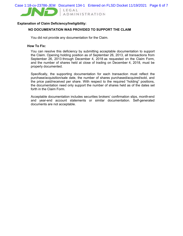

## **Explanation of Claim Deficiency/Ineligibility:**

# **NO DOCUMENTATION WAS PROVIDED TO SUPPORT THE CLAIM**

You did not provide any documentation for the Claim.

#### **How To Fix:**

You can resolve this deficiency by submitting acceptable documentation to support the Claim. Opening holding position as of September 26, 2013, all transactions from September 26, 2013 through December 4, 2018 as requested on the Claim Form, and the number of shares held at close of trading on December 4, 2018, must be properly documented.

Specifically, the supporting documentation for each transaction must reflect the purchase/acquisition/sale date, the number of shares purchased/acquired/sold, and the price paid/received per share. With respect to the required "holding" positions, the documentation need only support the number of shares held as of the dates set forth in the Claim Form.

Acceptable documentation includes securities brokers' confirmation slips, month-end and year-end account statements or similar documentation. Self-generated documents are not acceptable.